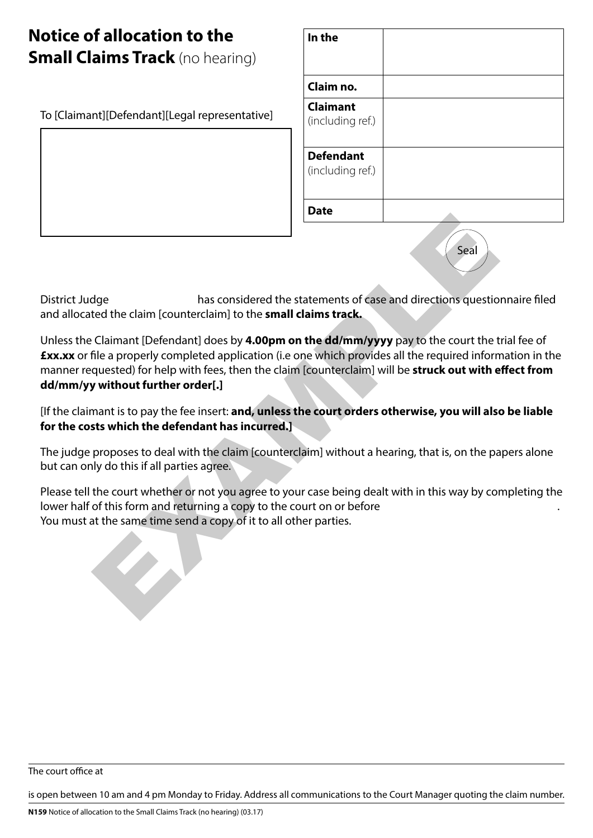# **Notice of allocation to the Small Claims Track** (no hearing)

To [Claimant][Defendant][Legal representative]

| In the                               |  |
|--------------------------------------|--|
| Claim no.                            |  |
| <b>Claimant</b><br>(including ref.)  |  |
| <b>Defendant</b><br>(including ref.) |  |
| <b>Date</b>                          |  |

$$
\begin{pmatrix} \text{Scal} \\ \end{pmatrix}
$$

District Judge has considered the statements of case and directions questionnaire filed and allocated the claim [counterclaim] to the **small claims track.**

Unless the Claimant [Defendant] does by **4.00pm on the dd/mm/yyyy** pay to the court the trial fee of **£xx.xx** or file a properly completed application (i.e one which provides all the required information in the manner requested) for help with fees, then the claim [counterclaim] will be **struck out with effect from dd/mm/yy without further order[.]** Seal<br>the definition that considered the statements of case and directions question<br>ted the claim [counterclaim] to the small claims track.<br>Claimant [Defendant] does by 4.00pm on the dd/mm/yyyy pay to the court the time<br>fil

[If the claimant is to pay the fee insert: **and, unless the court orders otherwise, you will also be liable for the costs which the defendant has incurred.]**

The judge proposes to deal with the claim [counterclaim] without a hearing, that is, on the papers alone but can only do this if all parties agree.

Please tell the court whether or not you agree to your case being dealt with in this way by completing the lower half of this form and returning a copy to the court on or before You must at the same time send a copy of it to all other parties.

The court office at

is open between 10 am and 4 pm Monday to Friday. Address all communications to the Court Manager quoting the claim number.